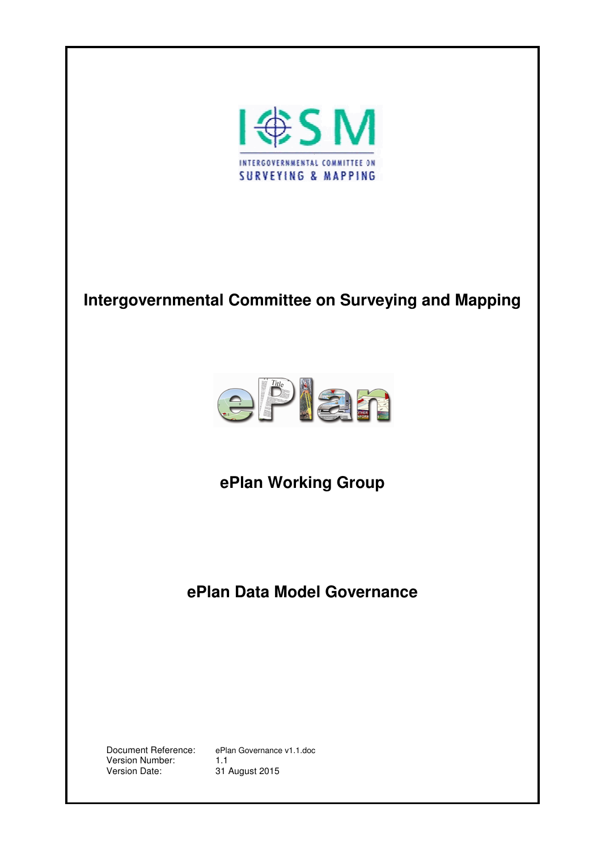

# **Intergovernmental Committee on Surveying and Mapping**



**ePlan Working Group** 

**ePlan Data Model Governance**

Version Number:<br>Version Date:

Document Reference: ePlan Governance v1.1.doc 31 August 2015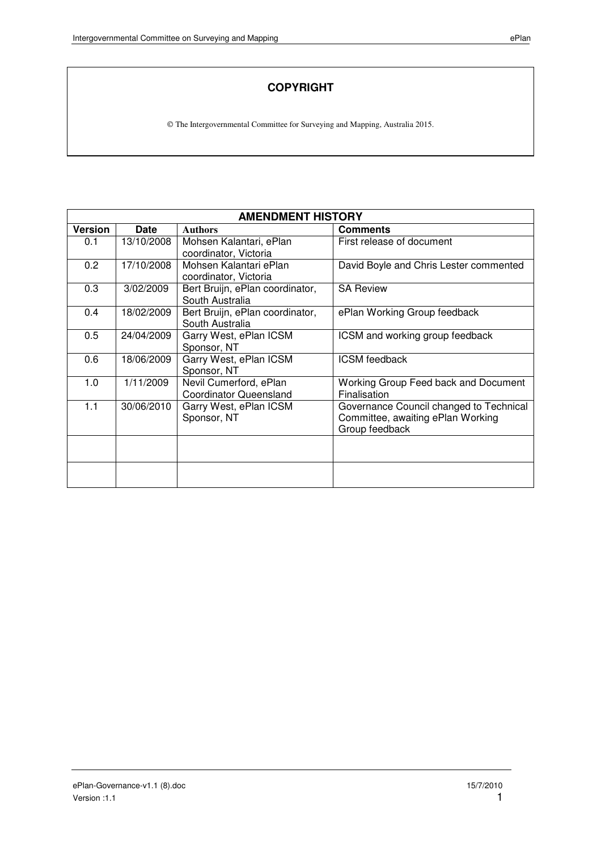### **COPYRIGHT**

The Intergovernmental Committee for Surveying and Mapping, Australia 2015.

| <b>AMENDMENT HISTORY</b> |             |                                                         |                                                                                                |  |
|--------------------------|-------------|---------------------------------------------------------|------------------------------------------------------------------------------------------------|--|
| <b>Version</b>           | <b>Date</b> | <b>Authors</b>                                          | <b>Comments</b>                                                                                |  |
| 0.1                      | 13/10/2008  | Mohsen Kalantari, ePlan<br>coordinator, Victoria        | First release of document                                                                      |  |
| 0.2                      | 17/10/2008  | Mohsen Kalantari ePlan<br>coordinator, Victoria         | David Boyle and Chris Lester commented                                                         |  |
| 0.3                      | 3/02/2009   | Bert Bruijn, ePlan coordinator,<br>South Australia      | <b>SA Review</b>                                                                               |  |
| 0.4                      | 18/02/2009  | Bert Bruijn, ePlan coordinator,<br>South Australia      | ePlan Working Group feedback                                                                   |  |
| 0.5                      | 24/04/2009  | Garry West, ePlan ICSM<br>Sponsor, NT                   | ICSM and working group feedback                                                                |  |
| 0.6                      | 18/06/2009  | Garry West, ePlan ICSM<br>Sponsor, NT                   | <b>ICSM</b> feedback                                                                           |  |
| 1.0                      | 1/11/2009   | Nevil Cumerford, ePlan<br><b>Coordinator Queensland</b> | Working Group Feed back and Document<br>Finalisation                                           |  |
| 1.1                      | 30/06/2010  | Garry West, ePlan ICSM<br>Sponsor, NT                   | Governance Council changed to Technical<br>Committee, awaiting ePlan Working<br>Group feedback |  |
|                          |             |                                                         |                                                                                                |  |
|                          |             |                                                         |                                                                                                |  |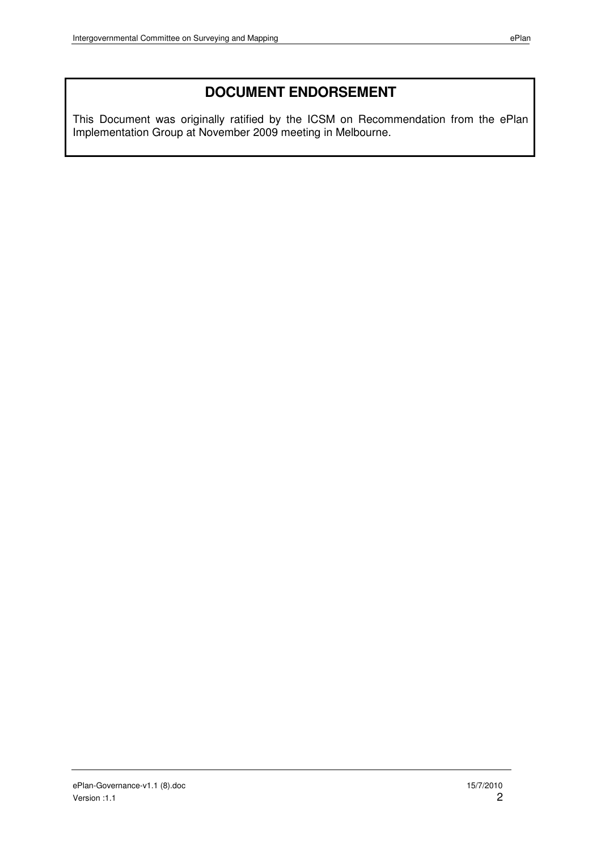# **DOCUMENT ENDORSEMENT**

This Document was originally ratified by the ICSM on Recommendation from the ePlan Implementation Group at November 2009 meeting in Melbourne.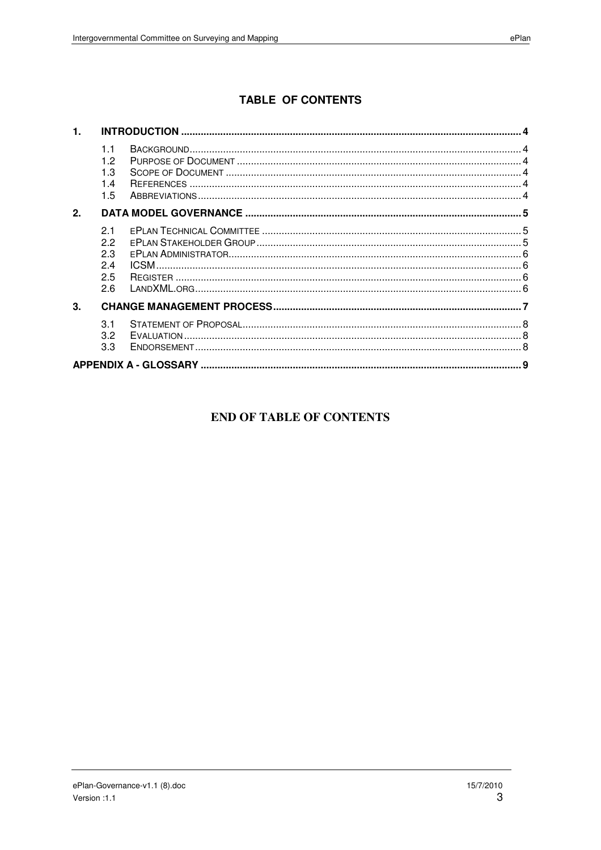# **TABLE OF CONTENTS**

| 1. |                                      |  |  |  |
|----|--------------------------------------|--|--|--|
|    | 11<br>12<br>1.3<br>14<br>1.5         |  |  |  |
| 2. |                                      |  |  |  |
|    | 21<br>22<br>2.3<br>2.4<br>2.5<br>2.6 |  |  |  |
| 3. |                                      |  |  |  |
|    | 3.1<br>3.2<br>3.3                    |  |  |  |
|    |                                      |  |  |  |

#### **END OF TABLE OF CONTENTS**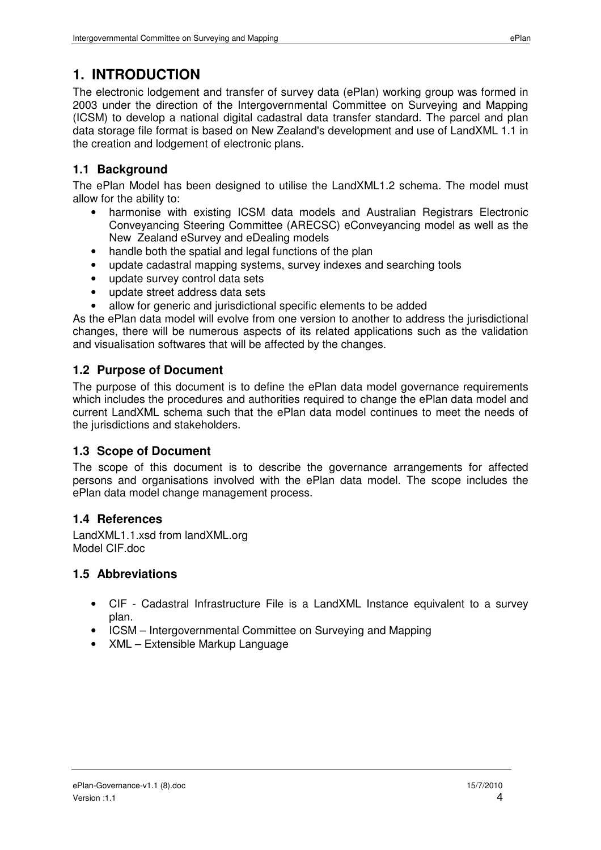# **1. INTRODUCTION**

The electronic lodgement and transfer of survey data (ePlan) working group was formed in 2003 under the direction of the Intergovernmental Committee on Surveying and Mapping (ICSM) to develop a national digital cadastral data transfer standard. The parcel and plan data storage file format is based on New Zealand's development and use of LandXML 1.1 in the creation and lodgement of electronic plans.

# **1.1 Background**

The ePlan Model has been designed to utilise the LandXML1.2 schema. The model must allow for the ability to:

- harmonise with existing ICSM data models and Australian Registrars Electronic Conveyancing Steering Committee (ARECSC) eConveyancing model as well as the New Zealand eSurvey and eDealing models
- handle both the spatial and legal functions of the plan
- update cadastral mapping systems, survey indexes and searching tools
- update survey control data sets
- update street address data sets
- allow for generic and jurisdictional specific elements to be added

As the ePlan data model will evolve from one version to another to address the jurisdictional changes, there will be numerous aspects of its related applications such as the validation and visualisation softwares that will be affected by the changes.

# **1.2 Purpose of Document**

The purpose of this document is to define the ePlan data model governance requirements which includes the procedures and authorities required to change the ePlan data model and current LandXML schema such that the ePlan data model continues to meet the needs of the jurisdictions and stakeholders.

# **1.3 Scope of Document**

The scope of this document is to describe the governance arrangements for affected persons and organisations involved with the ePlan data model. The scope includes the ePlan data model change management process.

## **1.4 References**

LandXML1.1.xsd from landXML.org Model CIF.doc

## **1.5 Abbreviations**

- CIF Cadastral Infrastructure File is a LandXML Instance equivalent to a survey plan.
- ICSM Intergovernmental Committee on Surveying and Mapping
- XML Extensible Markup Language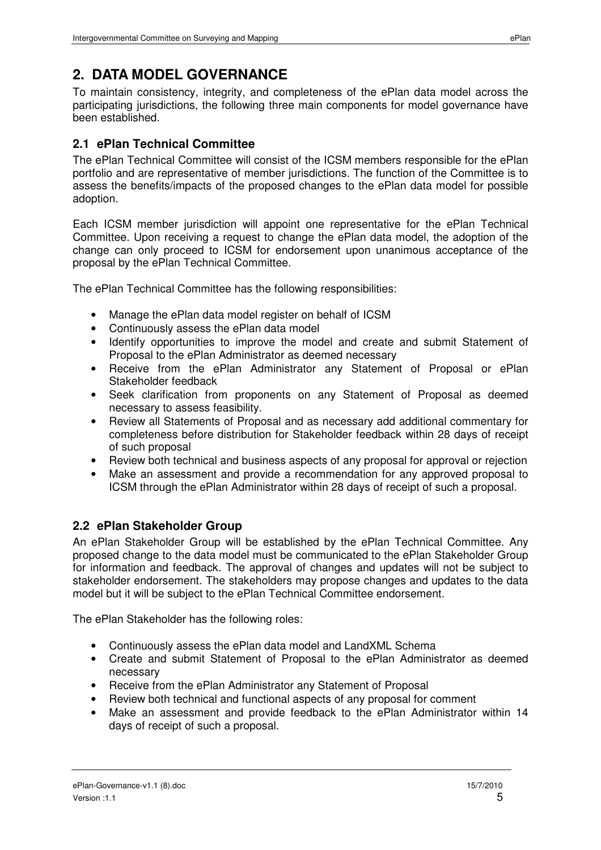To maintain consistency, integrity, and completeness of the ePlan data model across the participating jurisdictions, the following three main components for model governance have been established.

# **2.1 ePlan Technical Committee**

The ePlan Technical Committee will consist of the ICSM members responsible for the ePlan portfolio and are representative of member jurisdictions. The function of the Committee is to assess the benefits/impacts of the proposed changes to the ePlan data model for possible adoption.

Each ICSM member jurisdiction will appoint one representative for the ePlan Technical Committee. Upon receiving a request to change the ePlan data model, the adoption of the change can only proceed to ICSM for endorsement upon unanimous acceptance of the proposal by the ePlan Technical Committee.

The ePlan Technical Committee has the following responsibilities:

- Manage the ePlan data model register on behalf of ICSM
- Continuously assess the ePlan data model
- Identify opportunities to improve the model and create and submit Statement of Proposal to the ePlan Administrator as deemed necessary
- Receive from the ePlan Administrator any Statement of Proposal or ePlan Stakeholder feedback
- Seek clarification from proponents on any Statement of Proposal as deemed necessary to assess feasibility.
- Review all Statements of Proposal and as necessary add additional commentary for completeness before distribution for Stakeholder feedback within 28 days of receipt of such proposal
- Review both technical and business aspects of any proposal for approval or rejection
- Make an assessment and provide a recommendation for any approved proposal to ICSM through the ePlan Administrator within 28 days of receipt of such a proposal.

# **2.2 ePlan Stakeholder Group**

An ePlan Stakeholder Group will be established by the ePlan Technical Committee. Any proposed change to the data model must be communicated to the ePlan Stakeholder Group for information and feedback. The approval of changes and updates will not be subject to stakeholder endorsement. The stakeholders may propose changes and updates to the data model but it will be subject to the ePlan Technical Committee endorsement.

The ePlan Stakeholder has the following roles:

- Continuously assess the ePlan data model and LandXML Schema
- Create and submit Statement of Proposal to the ePlan Administrator as deemed necessary
- Receive from the ePlan Administrator any Statement of Proposal
- Review both technical and functional aspects of any proposal for comment
- Make an assessment and provide feedback to the ePlan Administrator within 14 days of receipt of such a proposal.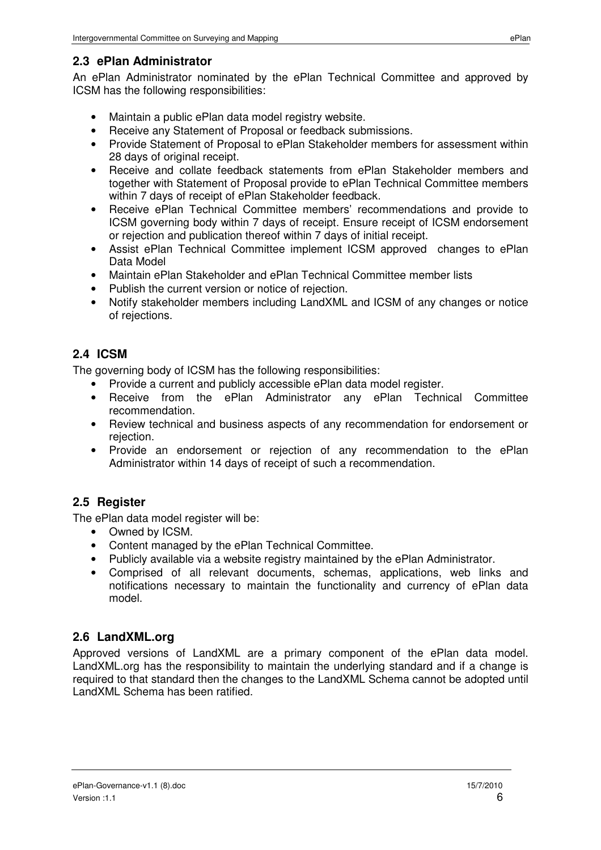### **2.3 ePlan Administrator**

An ePlan Administrator nominated by the ePlan Technical Committee and approved by ICSM has the following responsibilities:

- Maintain a public ePlan data model registry website.
- Receive any Statement of Proposal or feedback submissions.
- Provide Statement of Proposal to ePlan Stakeholder members for assessment within 28 days of original receipt.
- Receive and collate feedback statements from ePlan Stakeholder members and together with Statement of Proposal provide to ePlan Technical Committee members within 7 days of receipt of ePlan Stakeholder feedback.
- Receive ePlan Technical Committee members' recommendations and provide to ICSM governing body within 7 days of receipt. Ensure receipt of ICSM endorsement or rejection and publication thereof within 7 days of initial receipt.
- Assist ePlan Technical Committee implement ICSM approved changes to ePlan Data Model
- Maintain ePlan Stakeholder and ePlan Technical Committee member lists
- Publish the current version or notice of rejection.
- Notify stakeholder members including LandXML and ICSM of any changes or notice of rejections.

# **2.4 ICSM**

The governing body of ICSM has the following responsibilities:

- Provide a current and publicly accessible ePlan data model register.
- Receive from the ePlan Administrator any ePlan Technical Committee recommendation.
- Review technical and business aspects of any recommendation for endorsement or rejection.
- Provide an endorsement or rejection of any recommendation to the ePlan Administrator within 14 days of receipt of such a recommendation.

## **2.5 Register**

The ePlan data model register will be:

- Owned by ICSM.
- Content managed by the ePlan Technical Committee.
- Publicly available via a website registry maintained by the ePlan Administrator.
- Comprised of all relevant documents, schemas, applications, web links and notifications necessary to maintain the functionality and currency of ePlan data model.

# **2.6 LandXML.org**

Approved versions of LandXML are a primary component of the ePlan data model. LandXML.org has the responsibility to maintain the underlying standard and if a change is required to that standard then the changes to the LandXML Schema cannot be adopted until LandXML Schema has been ratified.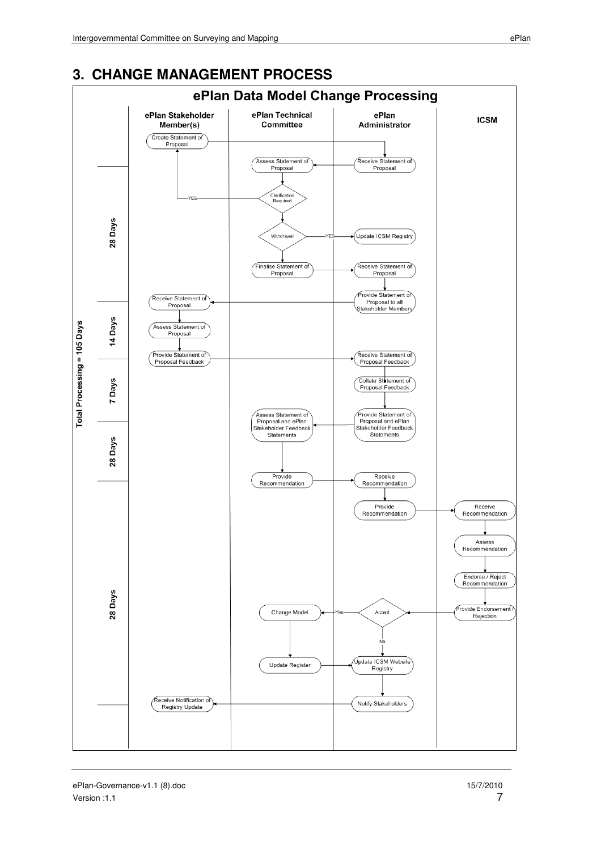

### **3. CHANGE MANAGEMENT PROCESS**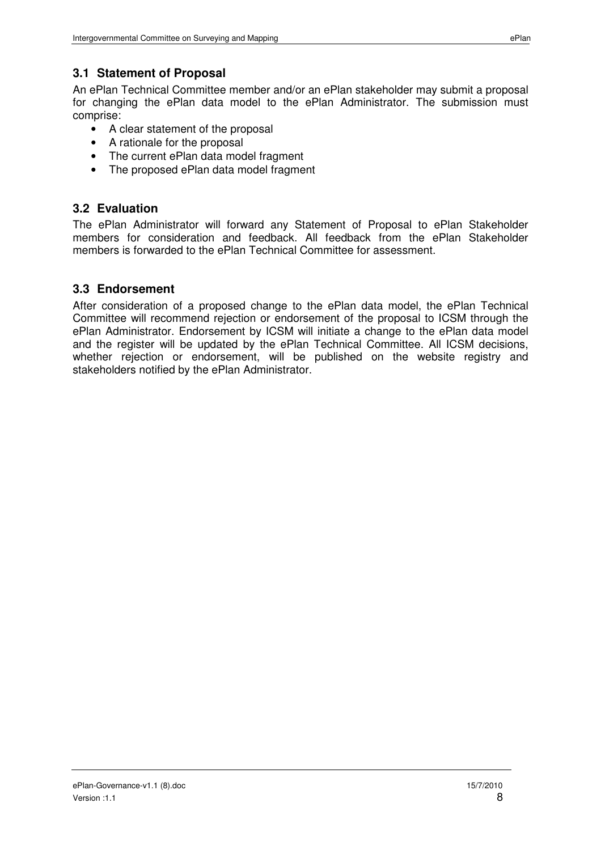An ePlan Technical Committee member and/or an ePlan stakeholder may submit a proposal for changing the ePlan data model to the ePlan Administrator. The submission must comprise:

- A clear statement of the proposal
- A rationale for the proposal
- The current ePlan data model fragment
- The proposed ePlan data model fragment

#### **3.2 Evaluation**

The ePlan Administrator will forward any Statement of Proposal to ePlan Stakeholder members for consideration and feedback. All feedback from the ePlan Stakeholder members is forwarded to the ePlan Technical Committee for assessment.

#### **3.3 Endorsement**

After consideration of a proposed change to the ePlan data model, the ePlan Technical Committee will recommend rejection or endorsement of the proposal to ICSM through the ePlan Administrator. Endorsement by ICSM will initiate a change to the ePlan data model and the register will be updated by the ePlan Technical Committee. All ICSM decisions, whether rejection or endorsement, will be published on the website registry and stakeholders notified by the ePlan Administrator.